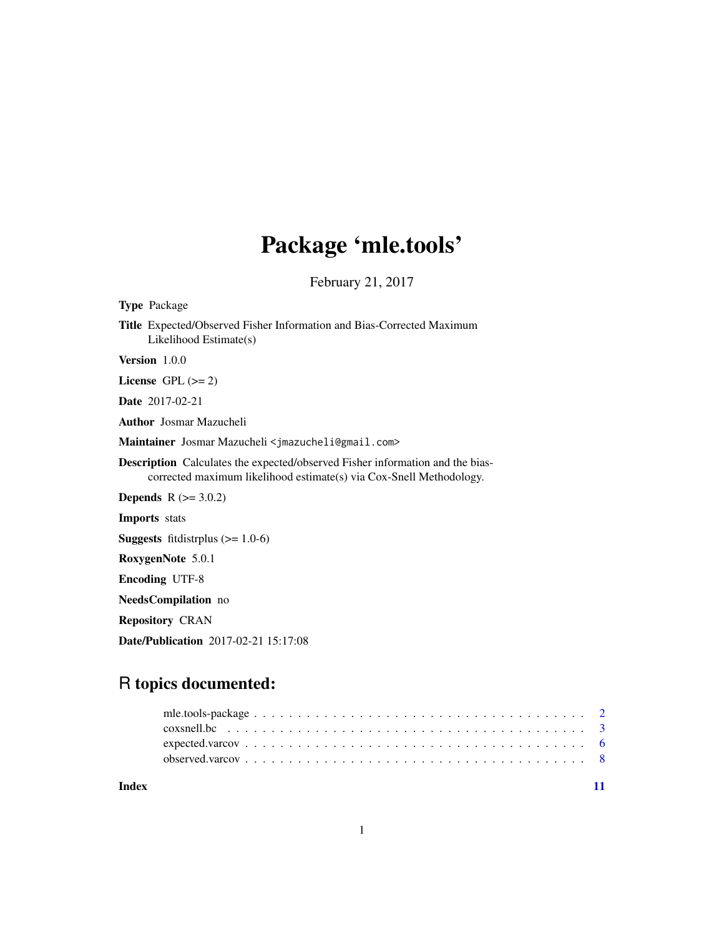## Package 'mle.tools'

February 21, 2017

<span id="page-0-0"></span>Type Package Title Expected/Observed Fisher Information and Bias-Corrected Maximum Likelihood Estimate(s) Version 1.0.0 License GPL  $(>= 2)$ Date 2017-02-21 Author Josmar Mazucheli Maintainer Josmar Mazucheli <jmazucheli@gmail.com> Description Calculates the expected/observed Fisher information and the biascorrected maximum likelihood estimate(s) via Cox-Snell Methodology. **Depends**  $R (= 3.0.2)$ Imports stats **Suggests** fitdistrplus  $(>= 1.0-6)$ RoxygenNote 5.0.1 Encoding UTF-8 NeedsCompilation no Repository CRAN Date/Publication 2017-02-21 15:17:08

### R topics documented:

| Index |  |
|-------|--|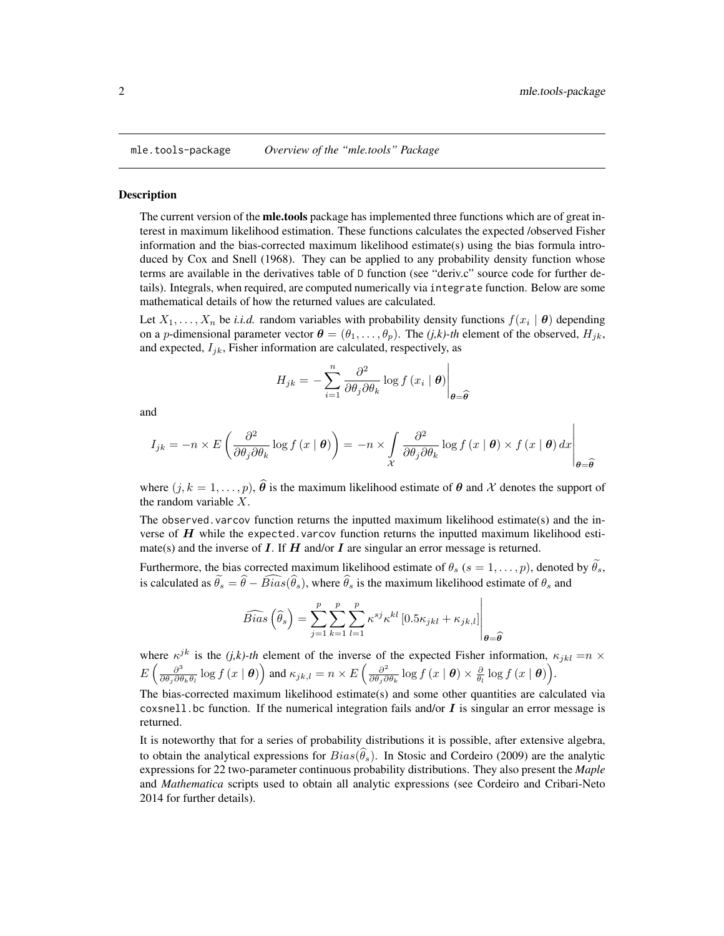<span id="page-1-0"></span>

#### **Description**

The current version of the **mle.tools** package has implemented three functions which are of great interest in maximum likelihood estimation. These functions calculates the expected /observed Fisher information and the bias-corrected maximum likelihood estimate(s) using the bias formula introduced by Cox and Snell (1968). They can be applied to any probability density function whose terms are available in the derivatives table of D function (see "deriv.c" source code for further details). Integrals, when required, are computed numerically via integrate function. Below are some mathematical details of how the returned values are calculated.

Let  $X_1, \ldots, X_n$  be *i.i.d.* random variables with probability density functions  $f(x_i | \theta)$  depending on a *p*-dimensional parameter vector  $\boldsymbol{\theta} = (\theta_1, \dots, \theta_p)$ . The *(j,k)-th* element of the observed,  $H_{jk}$ , and expected,  $I_{ik}$ , Fisher information are calculated, respectively, as

$$
H_{jk} = -\sum_{i=1}^{n} \frac{\partial^2}{\partial \theta_j \partial \theta_k} \log f(x_i \mid \boldsymbol{\theta}) \Big|_{\boldsymbol{\theta} = \widehat{\boldsymbol{\theta}}}
$$

and

$$
I_{jk} = -n \times E\left(\frac{\partial^2}{\partial \theta_j \partial \theta_k} \log f(x \mid \boldsymbol{\theta})\right) = -n \times \int_{\mathcal{X}} \frac{\partial^2}{\partial \theta_j \partial \theta_k} \log f(x \mid \boldsymbol{\theta}) \times f(x \mid \boldsymbol{\theta}) dx \Bigg|_{\boldsymbol{\theta} = \widehat{\boldsymbol{\theta}}}
$$

where  $(j, k = 1, \ldots, p)$ ,  $\hat{\theta}$  is the maximum likelihood estimate of  $\theta$  and X denotes the support of the random variable  $X$ .

The observed.varcov function returns the inputted maximum likelihood estimate(s) and the inverse of  $H$  while the expected.varcov function returns the inputted maximum likelihood estimate(s) and the inverse of I. If H and/or I are singular an error message is returned.

Furthermore, the bias corrected maximum likelihood estimate of  $\theta_s$  ( $s = 1, \ldots, p$ ), denoted by  $\theta_s$ , is calculated as  $\tilde{\theta}_s = \hat{\theta} - \widehat{Bias}(\hat{\theta}_s)$ , where  $\hat{\theta}_s$  is the maximum likelihood estimate of  $\theta_s$  and

$$
\widehat{Bias}\left(\widehat{\theta}_s\right) = \sum_{j=1}^{p} \sum_{k=1}^{p} \sum_{l=1}^{p} \kappa^{sj} \kappa^{kl} \left[ 0.5\kappa_{jkl} + \kappa_{jk,l} \right] \Bigg|_{\theta = \widehat{\theta}}
$$

where  $\kappa^{jk}$  is the *(j,k)-th* element of the inverse of the expected Fisher information,  $\kappa_{jkl} = n \times$  $E\left(\frac{\partial^3}{\partial \theta \cdot \partial \theta}\right)$  $\frac{\partial^3}{\partial\theta_j\partial\theta_k\theta_l}\log f\left(x\mid\boldsymbol{\theta}\right)\right)$  and  $\kappa_{jk,l}=n\times E\left(\frac{\partial^2}{\partial\theta_j\partial\theta_k\theta_l}\right)$  $\frac{\partial^2}{\partial \theta_j \partial \theta_k} \log f(x \mid \boldsymbol{\theta}) \times \frac{\partial}{\theta_l} \log f(x \mid \boldsymbol{\theta})\Big).$ 

The bias-corrected maximum likelihood estimate(s) and some other quantities are calculated via coxsnell. bc function. If the numerical integration fails and/or  $\bm{I}$  is singular an error message is returned.

It is noteworthy that for a series of probability distributions it is possible, after extensive algebra, to obtain the analytical expressions for  $Bias(\hat{\theta}_s)$ . In Stosic and Cordeiro (2009) are the analytic expressions for 22 two-parameter continuous probability distributions. They also present the *Maple* and *Mathematica* scripts used to obtain all analytic expressions (see Cordeiro and Cribari-Neto 2014 for further details).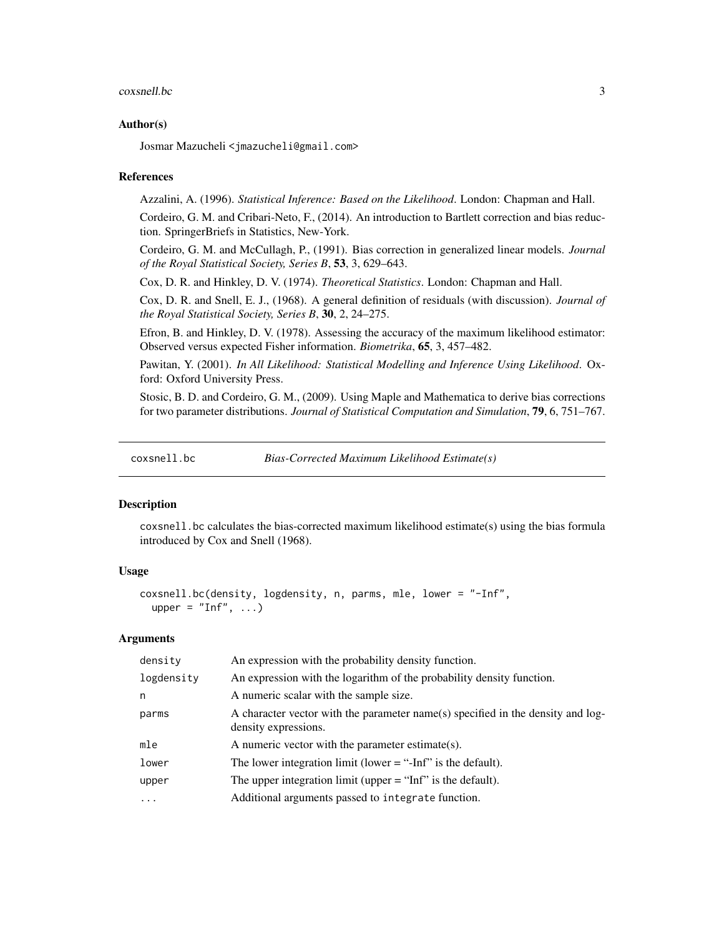#### <span id="page-2-0"></span> $\cos$ snell.bc  $\frac{3}{2}$

#### Author(s)

Josmar Mazucheli <jmazucheli@gmail.com>

#### References

Azzalini, A. (1996). *Statistical Inference: Based on the Likelihood*. London: Chapman and Hall.

Cordeiro, G. M. and Cribari-Neto, F., (2014). An introduction to Bartlett correction and bias reduction. SpringerBriefs in Statistics, New-York.

Cordeiro, G. M. and McCullagh, P., (1991). Bias correction in generalized linear models. *Journal of the Royal Statistical Society, Series B*, 53, 3, 629–643.

Cox, D. R. and Hinkley, D. V. (1974). *Theoretical Statistics*. London: Chapman and Hall.

Cox, D. R. and Snell, E. J., (1968). A general definition of residuals (with discussion). *Journal of the Royal Statistical Society, Series B*, 30, 2, 24–275.

Efron, B. and Hinkley, D. V. (1978). Assessing the accuracy of the maximum likelihood estimator: Observed versus expected Fisher information. *Biometrika*, 65, 3, 457–482.

Pawitan, Y. (2001). *In All Likelihood: Statistical Modelling and Inference Using Likelihood*. Oxford: Oxford University Press.

Stosic, B. D. and Cordeiro, G. M., (2009). Using Maple and Mathematica to derive bias corrections for two parameter distributions. *Journal of Statistical Computation and Simulation*, 79, 6, 751–767.

coxsnell.bc *Bias-Corrected Maximum Likelihood Estimate(s)*

#### Description

coxsnell.bc calculates the bias-corrected maximum likelihood estimate(s) using the bias formula introduced by Cox and Snell (1968).

#### Usage

```
coxsnell.bc(density, logdensity, n, parms, mle, lower = "-Inf",
 upper = "Inf", ...
```
#### Arguments

| density    | An expression with the probability density function.                                                    |
|------------|---------------------------------------------------------------------------------------------------------|
| logdensity | An expression with the logarithm of the probability density function.                                   |
| n          | A numeric scalar with the sample size.                                                                  |
| parms      | A character vector with the parameter name(s) specified in the density and log-<br>density expressions. |
| mle        | A numeric vector with the parameter estimate(s).                                                        |
| lower      | The lower integration limit (lower $=$ "-Inf" is the default).                                          |
| upper      | The upper integration limit (upper $=$ "Inf" is the default).                                           |
| $\ddots$   | Additional arguments passed to integrate function.                                                      |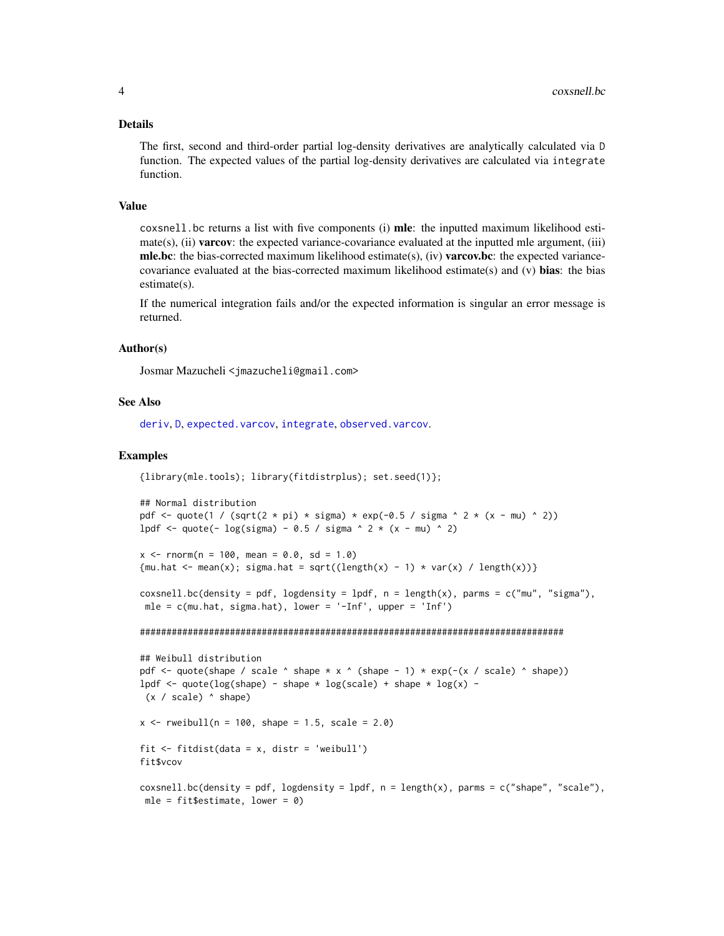#### <span id="page-3-0"></span>Details

The first, second and third-order partial log-density derivatives are analytically calculated via D function. The expected values of the partial log-density derivatives are calculated via integrate function.

#### Value

coxsnell.bc returns a list with five components (i) mle: the inputted maximum likelihood esti $mate(s)$ , (ii) **varcov**: the expected variance-covariance evaluated at the inputted mle argument, (iii) **mle.bc**: the bias-corrected maximum likelihood estimate(s), (iv) **varcov.bc**: the expected variancecovariance evaluated at the bias-corrected maximum likelihood estimate(s) and (v) bias: the bias estimate(s).

If the numerical integration fails and/or the expected information is singular an error message is returned.

#### Author(s)

Josmar Mazucheli <jmazucheli@gmail.com>

#### See Also

[deriv](#page-0-0), [D](#page-0-0), [expected.varcov](#page-5-1), [integrate](#page-0-0), [observed.varcov](#page-7-1).

#### Examples

```
{library(mle.tools); library(fitdistrplus); set.seed(1)};
```

```
## Normal distribution
pdf <- quote(1 / (sqrt(2 * pi) * sigma) * exp(-0.5 / sigma ^ 2 * (x - mu) ^ 2))
lpdf <- quote(- log(sigma) - 0.5 / sigma ^ 2 * (x - mu) ^ 2)
```

```
x \le - rnorm(n = 100, mean = 0.0, sd = 1.0)
{mu.hat <- mean(x); sigma.hat = sqrt((length(x) - 1) * var(x) / length(x))}
```

```
coxsnell.bc(density = pdf, logdensity = lpdf, n = length(x), parms = c("mu", "sigma"),
mle = c(mu.hat, sigma.hat), lower = '-Inf', upper = 'Inf')
```
################################################################################

```
## Weibull distribution
pdf \leq quote(shape / scale \land shape \star x \land (shape - 1) \star exp(-(x / scale) \land shape))
lpdf <- quote(log(shape) - shape * log(scale) + shape * log(x) -
(x / scale) ^ shape)
x \le - rweibull(n = 100, shape = 1.5, scale = 2.0)
fit \le fitdist(data = x, distr = 'weibull')
fit$vcov
coxsnell.bc(density = pdf, logdensity = lpdf, n = length(x), parms = c("shape", "scale"),
mle = fit$estimate, lower = 0
```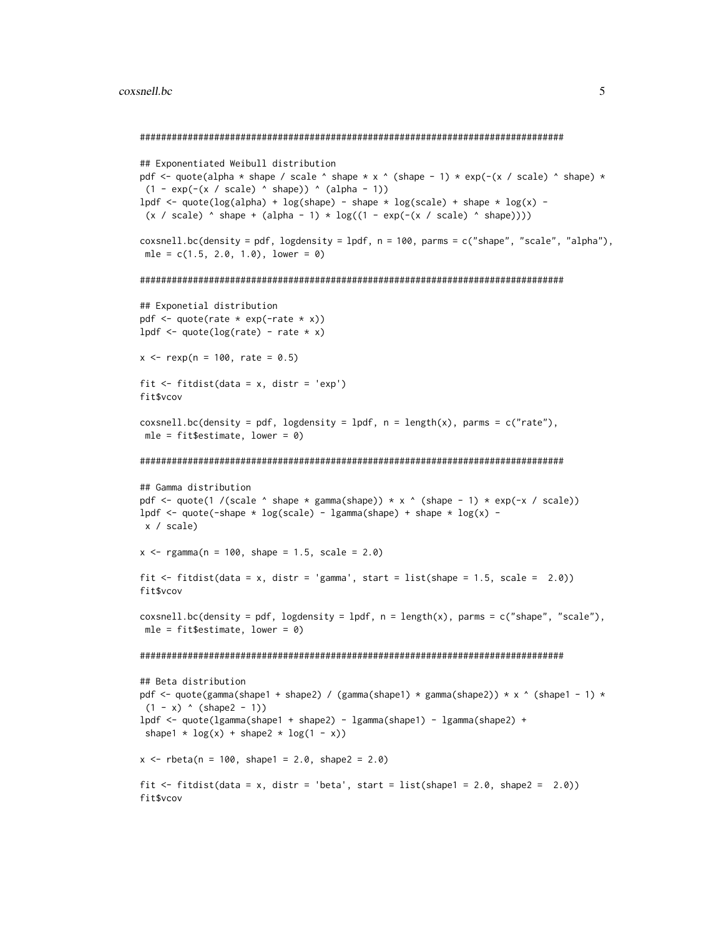```
################################################################################
## Exponentiated Weibull distribution
pdf <- quote(alpha * shape / scale ^ shape * x ^ (shape - 1) * exp(-(x / scale) ^ shape) *
 (1 - \exp(-(x / scale) \land shape)) \land (alpha - 1))lpdf <- quote(log(alpha) + log(shape) - shape * log(scale) + shape * log(x) -
 (x / scale) \land shape + (alpha - 1) \land log((1 - exp(-(x / scale) \land shape))))
coxsnell.bc(density = pdf, logdensity = lpdf, n = 100, parms = c("shape", "scale", "alpha"),
mle = c(1.5, 2.0, 1.0), lower = 0)################################################################################
## Exponetial distribution
pdf \leq quote(rate * exp(-rate * x))
lpdf \leq quote(log(rate) - rate \star x)
x \le - rexp(n = 100, rate = 0.5)
fit \le fitdist(data = x, distr = 'exp')
fit$vcov
coxsnell.bc(density = pdf, logdensity = lpdf, n = length(x), parms = c("rate"),
mle = fit$estimate, lower = 0)
################################################################################
## Gamma distribution
pdf <- quote(1 /(scale ^ shape * gamma(shape)) * x ^ (shape - 1) * exp(-x / scale))
lpdf <- quote(-shape * log(scale) - lgamma(shape) + shape * log(x) -
x / scale)
x \leq - rgamma(n = 100, shape = 1.5, scale = 2.0)
fit \le fitdist(data = x, distr = 'gamma', start = list(shape = 1.5, scale = 2.0))
fit$vcov
cosnel1.bc(density = pdf, logdensity = 1pdf, n = length(x), parms = c("shape", "scale"),mle = fit$estimate, lower = \theta)
################################################################################
## Beta distribution
pdf <- quote(gamma(shape1 + shape2) / (gamma(shape1) * gamma(shape2)) * x ^ (shape1 - 1) *
(1 - x) (shape2 - 1))
lpdf <- quote(lgamma(shape1 + shape2) - lgamma(shape1) - lgamma(shape2) +
shape1 * log(x) + shape2 * log(1 - x))x \le - rbeta(n = 100, shape1 = 2.0, shape2 = 2.0)
fit \le fitdist(data = x, distr = 'beta', start = list(shape1 = 2.0, shape2 = 2.0))
fit$vcov
```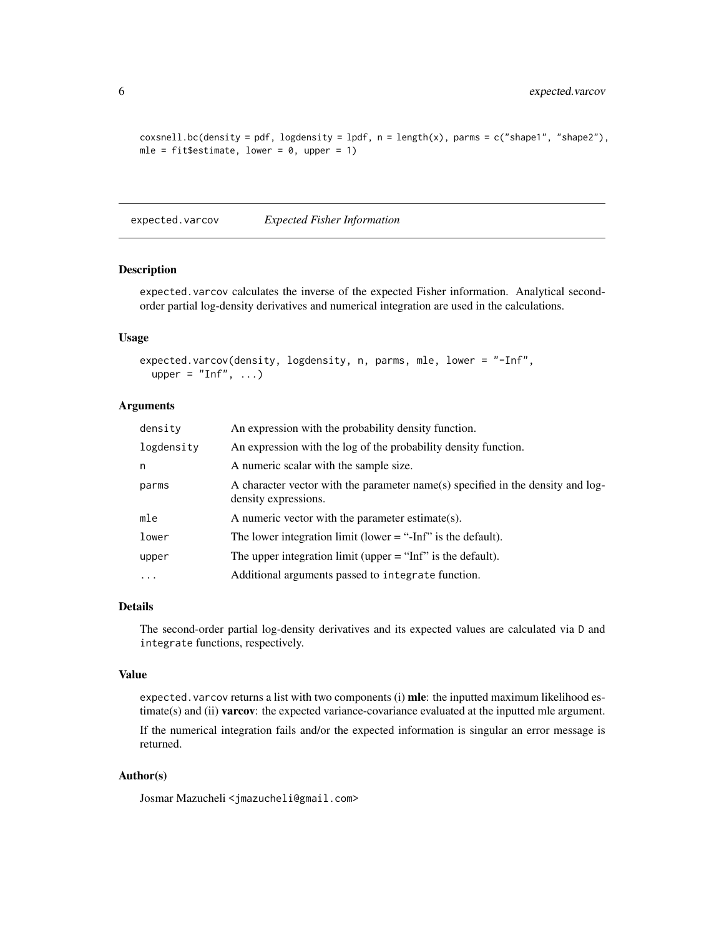```
cosnell.bc(density = pdf, logdensity = lpdf, n = length(x), parms = c("shape1", "shape2"),mle = fit$estimate, lower = 0, upper = 1)
```
<span id="page-5-1"></span>expected.varcov *Expected Fisher Information*

#### Description

expected.varcov calculates the inverse of the expected Fisher information. Analytical secondorder partial log-density derivatives and numerical integration are used in the calculations.

#### Usage

```
expected.varcov(density, logdensity, n, parms, mle, lower = "-Inf",
 upper = "Inf", ...
```
#### Arguments

| density    | An expression with the probability density function.                                                    |
|------------|---------------------------------------------------------------------------------------------------------|
| logdensity | An expression with the log of the probability density function.                                         |
| n          | A numeric scalar with the sample size.                                                                  |
| parms      | A character vector with the parameter name(s) specified in the density and log-<br>density expressions. |
| mle        | A numeric vector with the parameter estimate(s).                                                        |
| lower      | The lower integration limit (lower $=$ "-Inf" is the default).                                          |
| upper      | The upper integration limit (upper $=$ "Inf" is the default).                                           |
| $\ddotsc$  | Additional arguments passed to integrate function.                                                      |

#### Details

The second-order partial log-density derivatives and its expected values are calculated via D and integrate functions, respectively.

#### Value

expected.varcov returns a list with two components (i) mle: the inputted maximum likelihood estimate(s) and (ii) **varcov**: the expected variance-covariance evaluated at the inputted mle argument.

If the numerical integration fails and/or the expected information is singular an error message is returned.

#### Author(s)

Josmar Mazucheli <jmazucheli@gmail.com>

<span id="page-5-0"></span>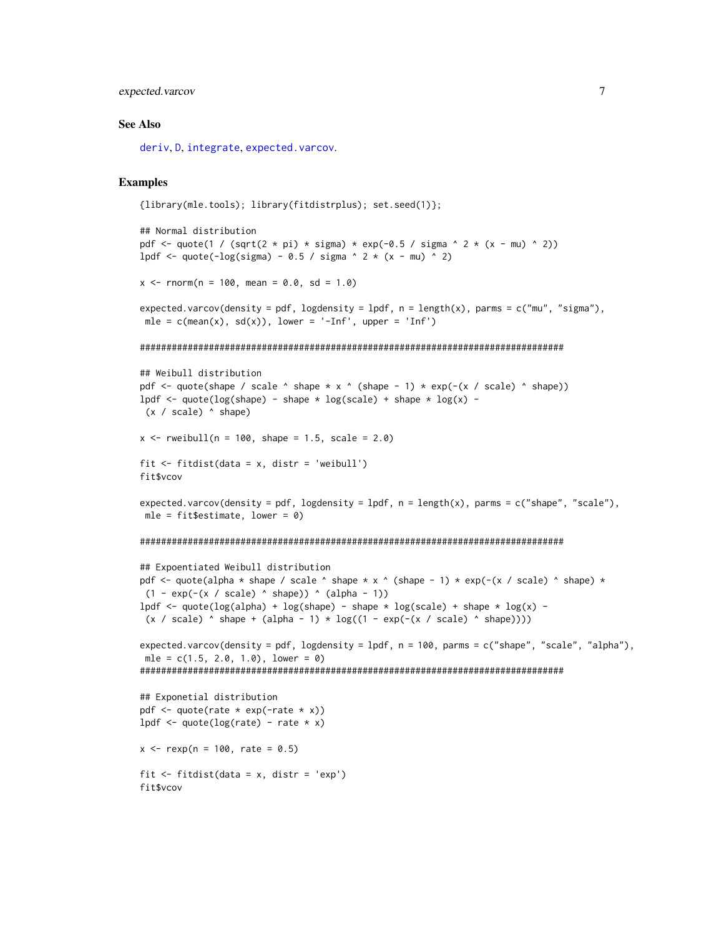#### <span id="page-6-0"></span>expected.varcov 7

#### See Also

[deriv](#page-0-0), [D](#page-0-0), [integrate](#page-0-0), [expected.varcov](#page-5-1).

#### Examples

```
{library(mle.tools); library(fitdistrplus); set.seed(1)};
```

```
## Normal distribution
pdf \le quote(1 / (sqrt(2 \star pi) \star sigma) \star exp(-0.5 / sigma ^ 2 \star (x - mu) ^ 2))
lpdf \leq quote(-log(sigma) - 0.5 / sigma \land 2 * (x - mu) \land 2)
x \le - rnorm(n = 100, mean = 0.0, sd = 1.0)
expected.varcov(density = pdf, logdensity = lpdf, n = length(x), parms = c("mu", "sigma"),
mle = c(\text{mean}(x), \text{sd}(x)), lower = '-Inf', upper = 'Inf')
```
#### ################################################################################

```
## Weibull distribution
pdf \leq quote(shape / scale \land shape \star x \land (shape - 1) \star exp(-(x / scale) \land shape))
lpdf <- quote(log(shape) - shape * log(scale) + shape * log(x) -
(x / scale) ^ shape)
```

```
x \le - rweibull(n = 100, shape = 1.5, scale = 2.0)
```

```
fit \le fitdist(data = x, distr = 'weibull')
fit$vcov
```

```
expected.varcov(density = pdf, logdensity = lpdf, n = length(x), parms = c("shape", "scale"),
mle = fit$estimate, lower = 0)
```

```
################################################################################
```

```
## Expoentiated Weibull distribution
pdf <- quote(alpha * shape / scale ^ shape * x ^ (shape - 1) * exp(-(x / scale) ^ shape) *
(1 - \exp(-(x / \text{scale}) \land \text{shape})) \land (\text{alpha} - 1))lpdf <- quote(log(alpha) + log(shape) - shape * log(scale) + shape * log(x) -
(x / scale) shape + (alpha - 1) * log((1 - exp(-(x / scale) ^ shape))))
expected.varcov(density = pdf, logdensity = lpdf, n = 100, parms = c("shape", "scale", "alpha"),
mle = c(1.5, 2.0, 1.0), lower = 0################################################################################
## Exponetial distribution
pdf \leq quote(rate * exp(-rate * x))
lpdf \leq quote(log(rate) - rate \star x)
x \le - rexp(n = 100, rate = 0.5)
```

```
fit <- fitdist(data = x, distr = 'exp')
fit$vcov
```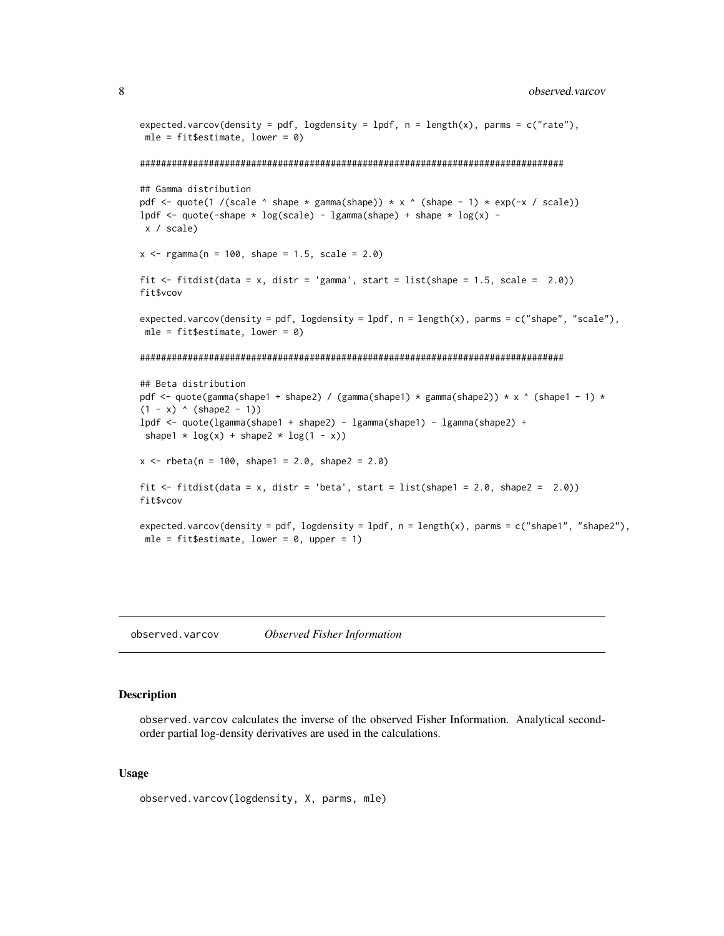```
expected.varcov(density = pdf, logdensity = lpdf, n = length(x), parms = c("rate"),
mle = fit$estimate, lower = 0################################################################################
## Gamma distribution
pdf <- quote(1 /(scale \land shape \star gamma(shape)) \star x \land (shape - 1) \star exp(-x / scale))
lpdf <- quote(-shape * log(scale) - lgamma(shape) + shape * log(x) -
x / scale)
x < - rgamma(n = 100, shape = 1.5, scale = 2.0)
fit \le fitdist(data = x, distr = 'gamma', start = list(shape = 1.5, scale = 2.0))
fit$vcov
expected.varcov(density = pdf, logdensity = lpdf, n = length(x), parms = c("shape", "scale"),
mle = fit$estimate, lower = 0)
################################################################################
## Beta distribution
pdf <- quote(gamma(shape1 + shape2) / (gamma(shape1) * gamma(shape2)) * x ^ (shape1 - 1) *
(1 - x) (shape2 - 1))
lpdf <- quote(lgamma(shape1 + shape2) - lgamma(shape1) - lgamma(shape2) +
shape1 * log(x) + shape2 * log(1 - x))x \le - rbeta(n = 100, shape1 = 2.0, shape2 = 2.0)
fit \le fitdist(data = x, distr = 'beta', start = list(shape1 = 2.0, shape2 = 2.0))
fit$vcov
expected.varcov(density = pdf, logdensity = lpdf, n = length(x), parms = c("shape1", "shape2"),
mle = fit$estimate, lower = 0, upper = 1)
```
<span id="page-7-1"></span>observed.varcov *Observed Fisher Information*

#### Description

observed.varcov calculates the inverse of the observed Fisher Information. Analytical secondorder partial log-density derivatives are used in the calculations.

#### Usage

```
observed.varcov(logdensity, X, parms, mle)
```
<span id="page-7-0"></span>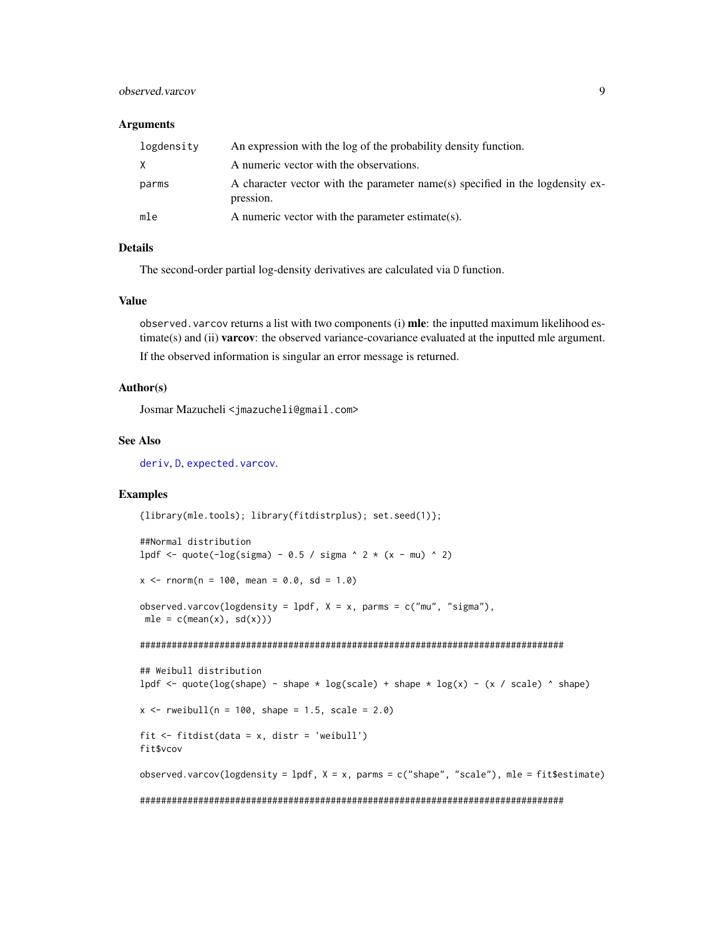#### <span id="page-8-0"></span>observed.varcov 9

#### **Arguments**

| logdensity | An expression with the log of the probability density function.                            |
|------------|--------------------------------------------------------------------------------------------|
| X          | A numeric vector with the observations.                                                    |
| parms      | A character vector with the parameter name(s) specified in the logdensity ex-<br>pression. |
| mle        | A numeric vector with the parameter estimate(s).                                           |

#### Details

The second-order partial log-density derivatives are calculated via D function.

#### Value

observed. varcov returns a list with two components (i)  $\textbf{mle}$ : the inputted maximum likelihood estimate(s) and (ii) **varcov**: the observed variance-covariance evaluated at the inputted mle argument. If the observed information is singular an error message is returned.

#### Author(s)

Josmar Mazucheli <jmazucheli@gmail.com>

#### See Also

[deriv](#page-0-0), [D](#page-0-0), [expected.varcov](#page-5-1).

#### Examples

{library(mle.tools); library(fitdistrplus); set.seed(1)};

```
##Normal distribution
lpdf \leq quote(-log(sigma) - 0.5 / sigma \land 2 * (x - mu) \land 2)
```
 $x \le -$  rnorm(n = 100, mean = 0.0, sd = 1.0)

observed.varcov(logdensity = lpdf,  $X = x$ , parms = c("mu", "sigma"),  $mle = c(mean(x), sd(x)))$ 

################################################################################

```
## Weibull distribution
lpdf \leq quote(log(shape) - shape * log(scale) + shape * log(x) - (x / scale) ^ shape)
x \le - rweibull(n = 100, shape = 1.5, scale = 2.0)
fit <- fitdist(data = x, distr = 'weibull')
fit$vcov
observed.varcov(logdensity = lpdf, X = x, parms = c("shape", "scale"), mle = fit$estimate)
################################################################################
```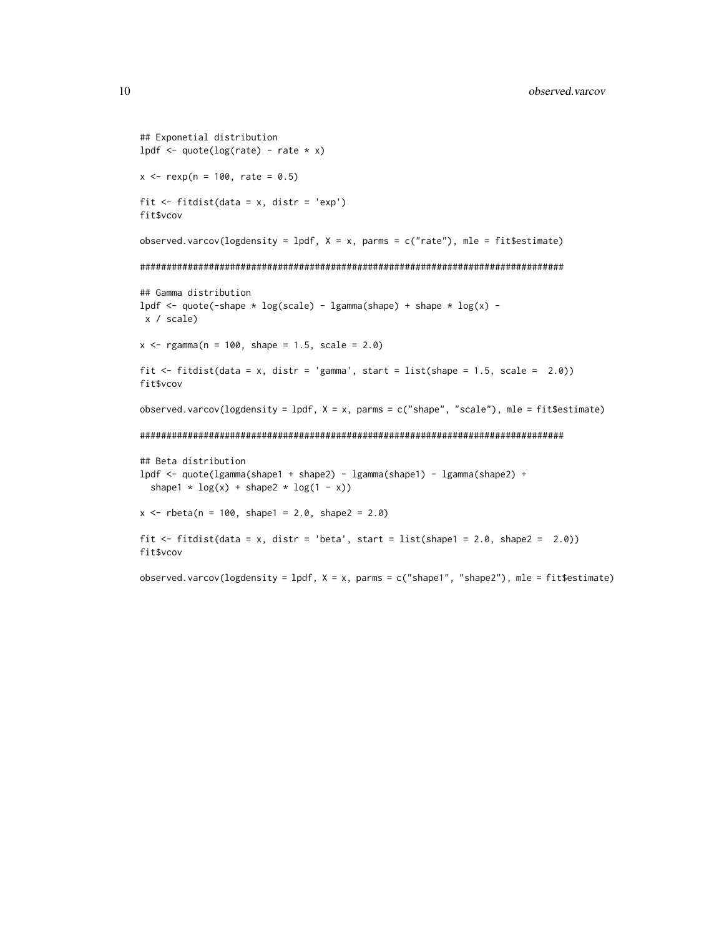```
## Exponetial distribution
lpdf \leq quote(log(rate) - rate \star x)
x \le - rexp(n = 100, rate = 0.5)
fit <- fitdist(data = x, distr = 'exp')
fit$vcov
observed.varcov(logdensity = lpdf, X = x, parms = c("rate"), mle = fit$estimate)
################################################################################
## Gamma distribution
lpdf \le quote(-shape * log(scale) - lgamma(shape) + shape * log(x) -
x / scale)
x <- rgamma(n = 100, shape = 1.5, scale = 2.0)
fit \le fitdist(data = x, distr = 'gamma', start = list(shape = 1.5, scale = 2.0))
fit$vcov
observed.varcov(logdensity = lpdf, X = x, parms = c("shape", "scale"), mle = fit$estimate)
################################################################################
## Beta distribution
lpdf <- quote(lgamma(shape1 + shape2) - lgamma(shape1) - lgamma(shape2) +
  shape1 * log(x) + shape2 * log(1 - x))x \le - rbeta(n = 100, shape1 = 2.0, shape2 = 2.0)
fit \le fitdist(data = x, distr = 'beta', start = list(shape1 = 2.0, shape2 = 2.0))
fit$vcov
observed.varcov(logdensity = lpdf, X = x, parms = c("shape1", "shape2"), mle = fit$estimate)
```